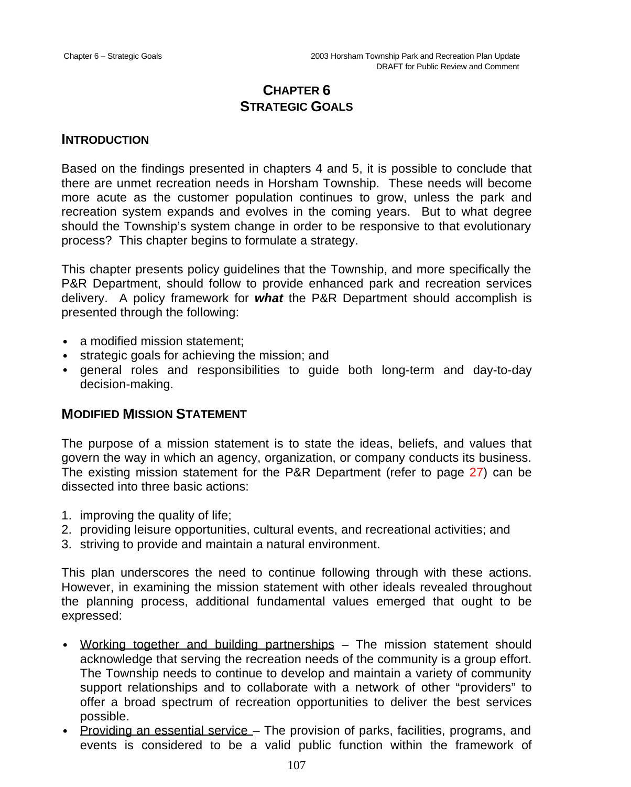# **CHAPTER 6 STRATEGIC GOALS**

#### **INTRODUCTION**

Based on the findings presented in chapters 4 and 5, it is possible to conclude that there are unmet recreation needs in Horsham Township. These needs will become more acute as the customer population continues to grow, unless the park and recreation system expands and evolves in the coming years. But to what degree should the Township's system change in order to be responsive to that evolutionary process? This chapter begins to formulate a strategy.

This chapter presents policy guidelines that the Township, and more specifically the P&R Department, should follow to provide enhanced park and recreation services delivery. A policy framework for *what* the P&R Department should accomplish is presented through the following:

- a modified mission statement:
- strategic goals for achieving the mission; and
- general roles and responsibilities to guide both long-term and day-to-day decision-making.

### **MODIFIED MISSION STATEMENT**

The purpose of a mission statement is to state the ideas, beliefs, and values that govern the way in which an agency, organization, or company conducts its business. The existing mission statement for the P&R Department (refer to page 27) can be dissected into three basic actions:

- 1. improving the quality of life;
- 2. providing leisure opportunities, cultural events, and recreational activities; and
- 3. striving to provide and maintain a natural environment.

This plan underscores the need to continue following through with these actions. However, in examining the mission statement with other ideals revealed throughout the planning process, additional fundamental values emerged that ought to be expressed:

- Working together and building partnerships The mission statement should acknowledge that serving the recreation needs of the community is a group effort. The Township needs to continue to develop and maintain a variety of community support relationships and to collaborate with a network of other "providers" to offer a broad spectrum of recreation opportunities to deliver the best services possible.
- Providing an essential service The provision of parks, facilities, programs, and events is considered to be a valid public function within the framework of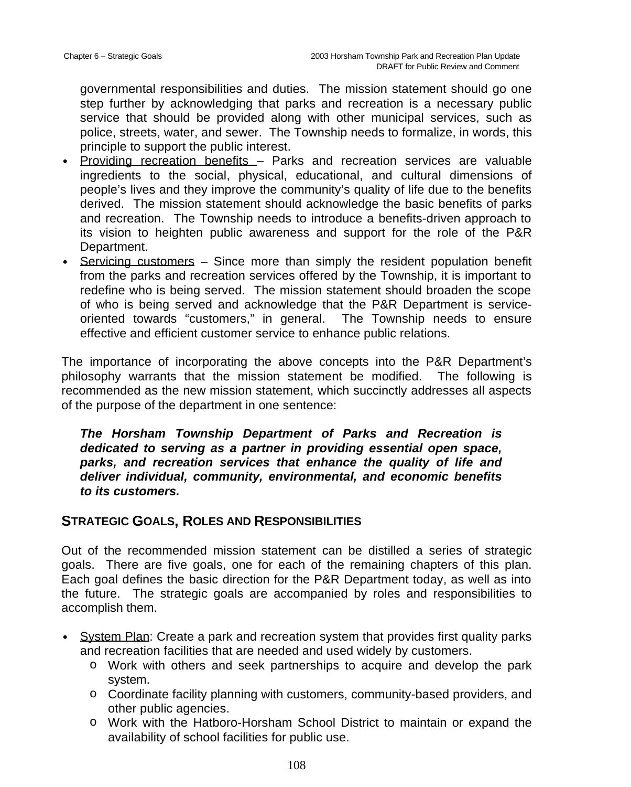governmental responsibilities and duties. The mission statement should go one step further by acknowledging that parks and recreation is a necessary public service that should be provided along with other municipal services, such as police, streets, water, and sewer. The Township needs to formalize, in words, this principle to support the public interest.

- Providing recreation benefits Parks and recreation services are valuable ingredients to the social, physical, educational, and cultural dimensions of people's lives and they improve the community's quality of life due to the benefits derived. The mission statement should acknowledge the basic benefits of parks and recreation. The Township needs to introduce a benefits-driven approach to its vision to heighten public awareness and support for the role of the P&R Department.
- Servicing customers Since more than simply the resident population benefit from the parks and recreation services offered by the Township, it is important to redefine who is being served. The mission statement should broaden the scope of who is being served and acknowledge that the P&R Department is serviceoriented towards "customers," in general. The Township needs to ensure effective and efficient customer service to enhance public relations.

The importance of incorporating the above concepts into the P&R Department's philosophy warrants that the mission statement be modified. The following is recommended as the new mission statement, which succinctly addresses all aspects of the purpose of the department in one sentence:

*The Horsham Township Department of Parks and Recreation is dedicated to serving as a partner in providing essential open space, parks, and recreation services that enhance the quality of life and deliver individual, community, environmental, and economic benefits to its customers.*

## **STRATEGIC GOALS, ROLES AND RESPONSIBILITIES**

Out of the recommended mission statement can be distilled a series of strategic goals. There are five goals, one for each of the remaining chapters of this plan. Each goal defines the basic direction for the P&R Department today, as well as into the future. The strategic goals are accompanied by roles and responsibilities to accomplish them.

- System Plan: Create a park and recreation system that provides first quality parks and recreation facilities that are needed and used widely by customers.
	- o Work with others and seek partnerships to acquire and develop the park system.
	- o Coordinate facility planning with customers, community-based providers, and other public agencies.
	- o Work with the Hatboro-Horsham School District to maintain or expand the availability of school facilities for public use.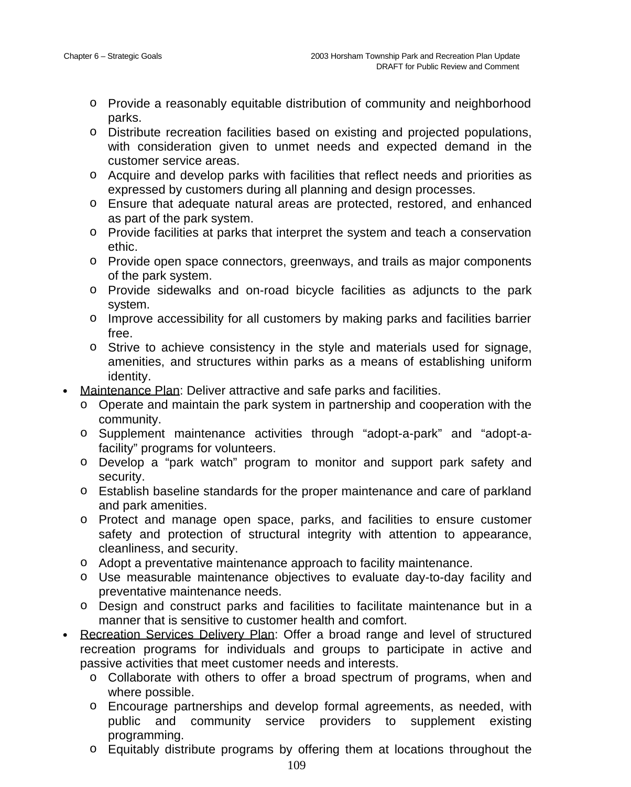- o Provide a reasonably equitable distribution of community and neighborhood parks.
- o Distribute recreation facilities based on existing and projected populations, with consideration given to unmet needs and expected demand in the customer service areas.
- o Acquire and develop parks with facilities that reflect needs and priorities as expressed by customers during all planning and design processes.
- o Ensure that adequate natural areas are protected, restored, and enhanced as part of the park system.
- o Provide facilities at parks that interpret the system and teach a conservation ethic.
- o Provide open space connectors, greenways, and trails as major components of the park system.
- o Provide sidewalks and on-road bicycle facilities as adjuncts to the park system.
- o Improve accessibility for all customers by making parks and facilities barrier free.
- o Strive to achieve consistency in the style and materials used for signage, amenities, and structures within parks as a means of establishing uniform identity.
- Maintenance Plan: Deliver attractive and safe parks and facilities.
	- o Operate and maintain the park system in partnership and cooperation with the community.
	- o Supplement maintenance activities through "adopt-a-park" and "adopt-afacility" programs for volunteers.
	- o Develop a "park watch" program to monitor and support park safety and security.
	- o Establish baseline standards for the proper maintenance and care of parkland and park amenities.
	- o Protect and manage open space, parks, and facilities to ensure customer safety and protection of structural integrity with attention to appearance, cleanliness, and security.
	- o Adopt a preventative maintenance approach to facility maintenance.
	- o Use measurable maintenance objectives to evaluate day-to-day facility and preventative maintenance needs.
	- o Design and construct parks and facilities to facilitate maintenance but in a manner that is sensitive to customer health and comfort.
- Recreation Services Delivery Plan: Offer a broad range and level of structured recreation programs for individuals and groups to participate in active and passive activities that meet customer needs and interests.
	- o Collaborate with others to offer a broad spectrum of programs, when and where possible.
	- o Encourage partnerships and develop formal agreements, as needed, with public and community service providers to supplement existing programming.
	- o Equitably distribute programs by offering them at locations throughout the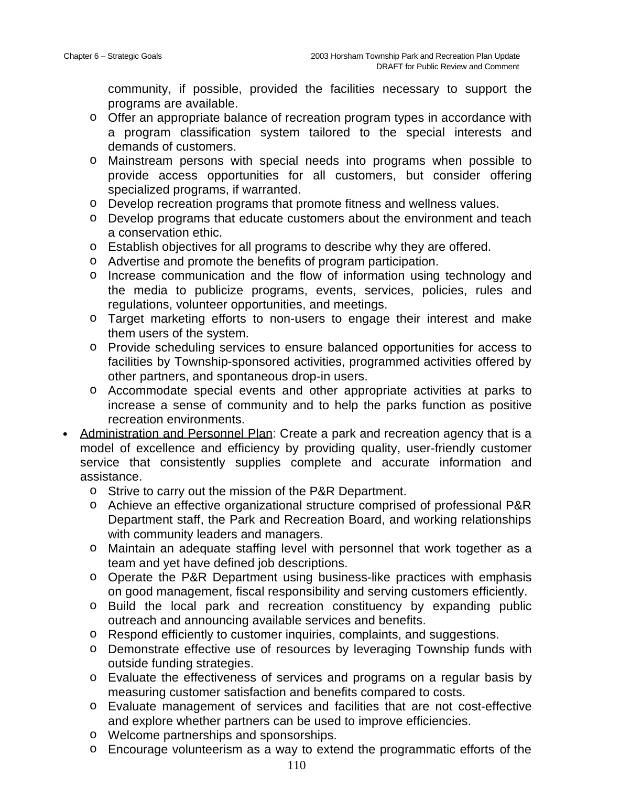community, if possible, provided the facilities necessary to support the programs are available.

- o Offer an appropriate balance of recreation program types in accordance with a program classification system tailored to the special interests and demands of customers.
- o Mainstream persons with special needs into programs when possible to provide access opportunities for all customers, but consider offering specialized programs, if warranted.
- o Develop recreation programs that promote fitness and wellness values.
- o Develop programs that educate customers about the environment and teach a conservation ethic.
- o Establish objectives for all programs to describe why they are offered.
- o Advertise and promote the benefits of program participation.
- o Increase communication and the flow of information using technology and the media to publicize programs, events, services, policies, rules and regulations, volunteer opportunities, and meetings.
- o Target marketing efforts to non-users to engage their interest and make them users of the system.
- o Provide scheduling services to ensure balanced opportunities for access to facilities by Township-sponsored activities, programmed activities offered by other partners, and spontaneous drop-in users.
- o Accommodate special events and other appropriate activities at parks to increase a sense of community and to help the parks function as positive recreation environments.
- Administration and Personnel Plan: Create a park and recreation agency that is a model of excellence and efficiency by providing quality, user-friendly customer service that consistently supplies complete and accurate information and assistance.
	- o Strive to carry out the mission of the P&R Department.
	- o Achieve an effective organizational structure comprised of professional P&R Department staff, the Park and Recreation Board, and working relationships with community leaders and managers.
	- o Maintain an adequate staffing level with personnel that work together as a team and yet have defined job descriptions.
	- o Operate the P&R Department using business-like practices with emphasis on good management, fiscal responsibility and serving customers efficiently.
	- o Build the local park and recreation constituency by expanding public outreach and announcing available services and benefits.
	- o Respond efficiently to customer inquiries, complaints, and suggestions.
	- o Demonstrate effective use of resources by leveraging Township funds with outside funding strategies.
	- o Evaluate the effectiveness of services and programs on a regular basis by measuring customer satisfaction and benefits compared to costs.
	- o Evaluate management of services and facilities that are not cost-effective and explore whether partners can be used to improve efficiencies.
	- o Welcome partnerships and sponsorships.
	- o Encourage volunteerism as a way to extend the programmatic efforts of the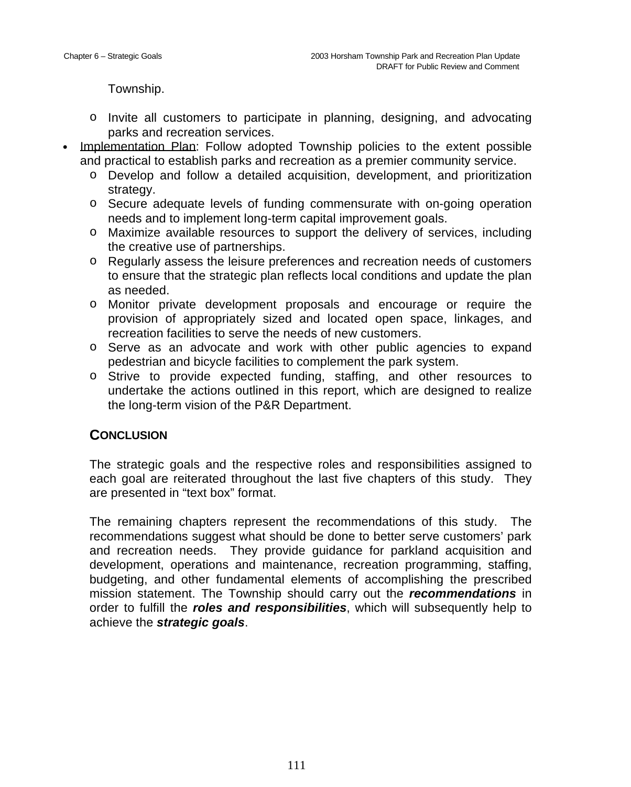Township.

- o Invite all customers to participate in planning, designing, and advocating parks and recreation services.
- Implementation Plan: Follow adopted Township policies to the extent possible and practical to establish parks and recreation as a premier community service.
	- o Develop and follow a detailed acquisition, development, and prioritization strategy.
	- o Secure adequate levels of funding commensurate with on-going operation needs and to implement long-term capital improvement goals.
	- o Maximize available resources to support the delivery of services, including the creative use of partnerships.
	- o Regularly assess the leisure preferences and recreation needs of customers to ensure that the strategic plan reflects local conditions and update the plan as needed.
	- o Monitor private development proposals and encourage or require the provision of appropriately sized and located open space, linkages, and recreation facilities to serve the needs of new customers.
	- o Serve as an advocate and work with other public agencies to expand pedestrian and bicycle facilities to complement the park system.
	- o Strive to provide expected funding, staffing, and other resources to undertake the actions outlined in this report, which are designed to realize the long-term vision of the P&R Department.

## **CONCLUSION**

The strategic goals and the respective roles and responsibilities assigned to each goal are reiterated throughout the last five chapters of this study. They are presented in "text box" format.

The remaining chapters represent the recommendations of this study. The recommendations suggest what should be done to better serve customers' park and recreation needs. They provide guidance for parkland acquisition and development, operations and maintenance, recreation programming, staffing, budgeting, and other fundamental elements of accomplishing the prescribed mission statement. The Township should carry out the *recommendations* in order to fulfill the *roles and responsibilities*, which will subsequently help to achieve the *strategic goals*.